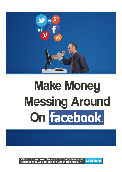

# **Make Money Messing Around** On facebook.

*Pssst*.... do you want to learn the really advanced **Click here!** content that we couldn't include in this eBook?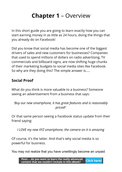# **Chapter 1** – Overview

In this short guide you are going to learn exactly how you can start earning money in as little as 24 hours, doing the things that you already do on Facebook!

Did you know that social media has become one of the biggest drivers of sales and new customers for businesses? Companies that used to spend millions of dollars on radio advertising, TV commercials and billboard signs, are now shifting huge chunks of their marketing budgets to social media sites like Facebook. So why are they doing this? The simple answer is.....

#### **Social Proof**

What do you think is more valuable to a business? Someone seeing an advertisement from a business that says:

*'Buy our new smartphone, it has great features and is reasonably priced!'*

Or that same person seeing a Facebook status update from their friend saying:

*I LOVE my new XYZ smartphone, the camera on it is amazing*

Of course, it's the latter. And that's why social media is so powerful for business.

You may not realize that you have unwittingly become an unpaid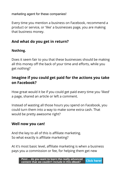marketing agent for these companies!

Every time you mention a business on Facebook, recommend a product or service, or 'like' a businesses page, you are making that business money.

### **And what do you get in return?**

#### **Nothing.**

Does it seem fair to you that these businesses should be making all this money off the back of your time and efforts, while you get nothing?

## **Imagine if you could get paid for the actions you take on Facebook?**

How great would it be if you could get paid every time you 'liked' a page, shared an article or left a comment.

Instead of wasting all those hours you spend on Facebook, you could turn them into a way to make some extra cash. That would be pretty awesome right?

### **Well now you can!**

And the key to all of this is affiliate marketing. So what exactly is affiliate marketing?

At it's most basic level, affiliate marketing is when a business pays you a commission or fee, for helping them get new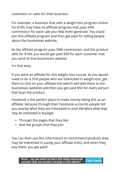customers or sales for their business.

For example, a business that sells a weight loss program online for \$100, may have an affiliate program that pays 50% commission for each sale you help them generate. You could join this affiliate program and then get paid for telling people about the businesses website.

As the affiliate program pays 50% commission, and the product sells for \$100, you would get paid \$50 for each customer that you send to that businesses website.

It's that easy.

If you were an affiliate for this weight loss course, all you would need to do is find people who are interested in weight loss, get them to click on your affiliate link (which will take them to the businesses website) and then you get paid \$50 for every person that buys the product.

Facebook is the perfect place to make money doing this as an affiliate, because through their Facebook accounts people tell you exactly what they are interested in *(and therefore what they may be interested in buying!).*

- Through the pages that they like
- And the groups that they join

You can then use this information to recommend products they may be interested in (using your affiliate links), and when they buy them, you get paid!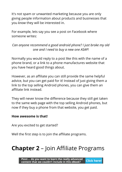It's not spam or unwanted marketing because you are only giving people information about products and businesses that you *know* they will be interested in.

For example, lets say you see a post on Facebook where someone writes:

#### *Can anyone recommend a good android phone? I just broke my old one and I need to buy a new one ASAP!*

Normally you would reply to a post like this with the name of a phone brand, or a link to a phone manufactures website that you have heard good things about.

However, as an affiliate you can still provide the same helpful advice, but you can get paid for it! Instead of just giving them a link to the top selling Android phones, you can give them an affiliate link instead.

They will never know the diference because they still get taken to the same web page with the top selling Android phones, but now if they buy a phone from that website, you get paid.

#### **How awesome is that!**

Are you excited to get started?

Well the first step is to join the affiliate programs.

# **Chapter 2** – Join Affiliate Programs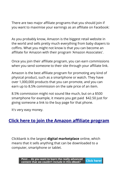There are two major affiliate programs that you should join if you want to maximise your earnings as an affiliate on Facebook:

As you probably know, Amazon is the biggest retail website in the world and sells pretty much everything from baby diapers to coffins. What you might not know is that you can become an affiliate for Amazon with their program 'Amazon Associates'.

Once you join their affiliate program, you can earn commissions when you send someone to their site through your affiliate link.

Amazon is the best affiliate program for promoting any kind of physical product, such as a smartphone or watch. They have over 1,000,000 products that you can promote, and you can earn up to 8.5% commission on the sale price of an item.

8.5% commission might not sound like much, but on a \$500 smartphone for example, it means you get paid \$42.50 just for giving someone a link to the buy page for that phone.

It's very easy money.

## **Click here to join the Amazon affiliate program**

Clickbank is the largest **digital marketplace** online, which means that it sells anything that can be downloaded to a computer, smartphone or tablet.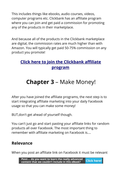This includes things like ebooks, audio courses, videos, computer programs etc. Clickbank has an afliate program where you can join and get paid a commission for promoting any of the products in their marketplace.

And because all of the products in the Clickbank marketplace are digital, the commission rates are much higher than with Amazon. You will typically get paid 50-75% commission on any product you promote!

## *<u>Click here to join the Clickbank affiliate</u>* **[program](https://accounts.clickbank.com/public/#/signup/form/key//cid/MAINmenu)**

# **Chapter 3** – Make Money!

After you have joined the affiliate programs, the next step is to start integrating affiliate marketing into your daily Facebook usage so that you can make some money!

BUT,don't get ahead of yourself though.

You can't just go and start pasting your affiliate links for random products all over Facebook. The most important thing to remember with affiliate marketing on Facebook is....

## **Relevance**

When you post an affiliate link on Facebook it must be relevant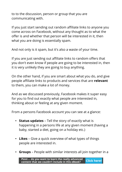to to the discussion, person or group that you are communicating with.

If you just start sending out random affiliate links to anyone you come across on Facebook, without any thought as to what the offer is and whether that person will be interested in it, then what you are doing is essentially spam.

And not only is it spam, but it's also a waste of your time.

If you are just sending out affiliate links to random offers that you don't even know if people are going to be interested in, then it is very unlikely they are going to buy anything.

On the other hand, if you are smart about what you do, and give people affiliate links to products and services that are **relevant** to them, you can make a lot of money.

And as we discussed previously, Facebook makes it super easy for you to find out exactly what people are interested in, thinking about or feeling at any given moment.

From a persons Facebook account you can see at a glance:

- **Status updates** Tell the story of exactly what is happening in a persons life at any given moment (having a baby, started a diet, going on a holiday etc.)
- **Likes** Give a quick overview of what types of things people are interested in.
- **Groups** People with similar interests all join together in a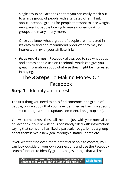single group on Facebook so that you can easily reach out to a large group of people with a targeted offer. Think about Facebook groups for people that want to lose weight, new parents, people looking to make money, cooking groups and many, many more.

Once you know what a group of people are interested in, it's easy to find and recommend products they may be interested in (with your affiliate links).

• **Apps And Games** – Facebook allows you to see what apps and games people use on Facebook, which can give you great information about what else they might be interested in buying.

# The **3 Steps** To Making Money On Facebook

# **Step 1 –** Identify an interest

The first thing you need to do is find someone, or a group of people, on Facebook that you have identifed as having a specifc interest (through a status update, comment, like, group etc.).

You will come across these all the time just with your normal use of Facebook. Your newsfeed is constantly flled with information saying that someone has liked a particular page, joined a group or set themselves a new goal through a status update etc.

If you want to find even more potential people to contact, you can look outside of your own connections and use the Facebook search function to identify groups, pages or tags that will help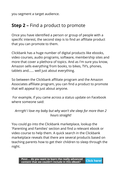you segment a target audience.

# **Step 2 –** Find a product to promote

Once you have identifed a person or group of people with a specific interest, the second step is to find an affiliate product that you can promote to them.

Clickbank has a huge number of digital products like ebooks, video courses, audio programs, software, membership sites and more that cover a plethora of topics. And as I'm sure you know, Amazon sells everything from books, to bikes, TV's, phones, tablets and...... well just about everything.

So between the Clickbank affiliate program and the Amazon Associates affiliate program, you can find a product to promote that will appeal to just about anyone.

 For example, if you came across a status update on Facebook where someone said:

#### *Arrrrgh! I love my baby but why won't she sleep for more than 2 hours straight!*

You could go into the Clickbank marketplace, lookup the 'Parenting and Families' section and find a relevant ebook or video course to help them. A quick search in the Clickbank marketplace reveals that there are several products based on teaching parents how to get their children to sleep through the night.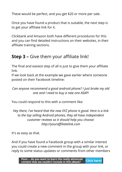These would be perfect, and you get \$20 or more per sale.

Once you have found a product that is suitable, the next step is to get your affiliate link for it.

Clickbank and Amazon both have diferent procedures for this and you can find detailed instructions on their websites, in their affiliate training sections.

# **Step 3 – Give them your affiliate link!**

The final and easiest step of all is just to give them your affiliate link.

If we look back at the example we gave earlier where someone posted on their Facebook timeline:

*Can anyone recommend a good android phone? I just broke my old one and I need to buy a new one ASAP!*

You could respond to this with a comment like:

*Hey there, I've heard that the new XYZ phone is good. Here is a link to the top selling Android phones, they all have independent customer reviews so it should help you choose: http://yourafliatelink.com*

It's as easy as that.

And if you have found a Facebook group with a similar interest you could create a new comment in the group with your link, or reply to some status updates or comments from other members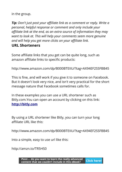in the group.

**Tip:** Don't just post your affiliate link as a comment or reply. Write a *personal, helpful response or comment and only include your affiliate link at the end, as an extra source of information they may want to look at. This will help your comments seem more genuine and will help you get more clicks on your afliate link.*  **URL Shorteners**

Some affiliate links that you get can be quite long, such as amazon affiliate links to specific products:

http://www.amazon.com/dp/B000BTEIIU/?tag=AX94EF2SSFBB45

This is fine, and will work if you give it to someone on Facebook. But it doesn't look very nice, and isn't very practical for the short message nature that Facebook sometimes calls for.

In these examples you can use a URL shortener such as Bitly.com.You can open an account by clicking on this link: **[http://bitly.com](http://bitly.com/)**

By using a URL shortener like Bitly, you can turn your long affiliate URL like this:

http://www.amazon.com/dp/B000BTEIIU/?tag=AX94EF2SSFBB45

Into a simple, easy to use url like this:

http://amzn.to/TR5HS0